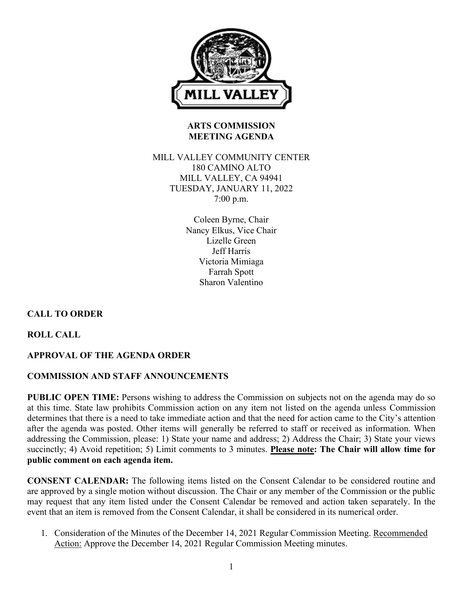

# **ARTS COMMISSION MEETING AGENDA**

## MILL VALLEY COMMUNITY CENTER 180 CAMINO ALTO MILL VALLEY, CA 94941 TUESDAY, JANUARY 11, 2022 7:00 p.m.

Coleen Byrne, Chair Nancy Elkus, Vice Chair Lizelle Green Jeff Harris Victoria Mimiaga Farrah Spott Sharon Valentino

# **CALL TO ORDER**

**ROLL CALL**

# **APPROVAL OF THE AGENDA ORDER**

# **COMMISSION AND STAFF ANNOUNCEMENTS**

**PUBLIC OPEN TIME:** Persons wishing to address the Commission on subjects not on the agenda may do so at this time. State law prohibits Commission action on any item not listed on the agenda unless Commission determines that there is a need to take immediate action and that the need for action came to the City's attention after the agenda was posted. Other items will generally be referred to staff or received as information. When addressing the Commission, please: 1) State your name and address; 2) Address the Chair; 3) State your views succinctly; 4) Avoid repetition; 5) Limit comments to 3 minutes. **Please note: The Chair will allow time for public comment on each agenda item.**

**CONSENT CALENDAR:** The following items listed on the Consent Calendar to be considered routine and are approved by a single motion without discussion. The Chair or any member of the Commission or the public may request that any item listed under the Consent Calendar be removed and action taken separately. In the event that an item is removed from the Consent Calendar, it shall be considered in its numerical order.

1. Consideration of the Minutes of the December 14, 2021 Regular Commission Meeting. Recommended Action: Approve the December 14, 2021 Regular Commission Meeting minutes.